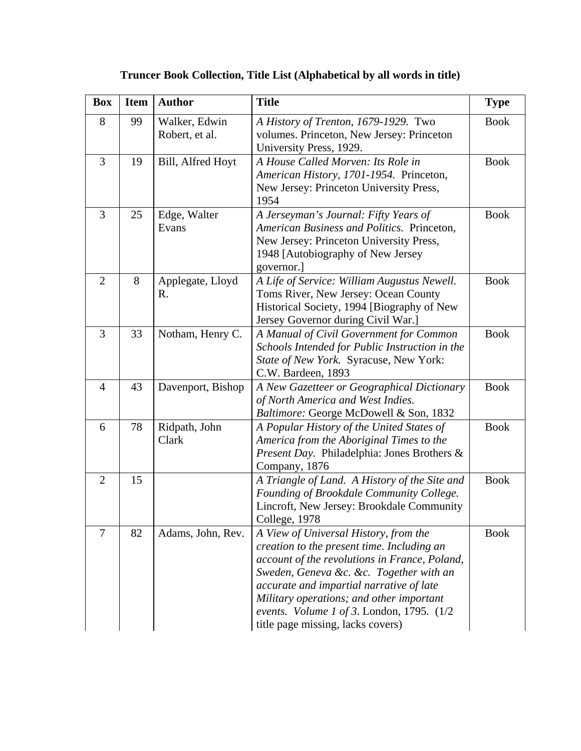| <b>Box</b>     | <b>Item</b> | <b>Author</b>                   | <b>Title</b>                                                                                                                                                                                                                                                                                                                                                 | <b>Type</b> |
|----------------|-------------|---------------------------------|--------------------------------------------------------------------------------------------------------------------------------------------------------------------------------------------------------------------------------------------------------------------------------------------------------------------------------------------------------------|-------------|
| 8              | 99          | Walker, Edwin<br>Robert, et al. | A History of Trenton, 1679-1929. Two<br>volumes. Princeton, New Jersey: Princeton<br>University Press, 1929.                                                                                                                                                                                                                                                 | <b>Book</b> |
| 3              | 19          | Bill, Alfred Hoyt               | A House Called Morven: Its Role in<br>American History, 1701-1954. Princeton,<br>New Jersey: Princeton University Press,<br>1954                                                                                                                                                                                                                             | <b>Book</b> |
| 3              | 25          | Edge, Walter<br>Evans           | A Jerseyman's Journal: Fifty Years of<br>American Business and Politics. Princeton,<br>New Jersey: Princeton University Press,<br>1948 [Autobiography of New Jersey<br>governor.                                                                                                                                                                             | <b>Book</b> |
| $\overline{2}$ | 8           | Applegate, Lloyd<br>R.          | A Life of Service: William Augustus Newell.<br>Toms River, New Jersey: Ocean County<br>Historical Society, 1994 [Biography of New<br>Jersey Governor during Civil War.]                                                                                                                                                                                      | <b>Book</b> |
| 3              | 33          | Notham, Henry C.                | A Manual of Civil Government for Common<br>Schools Intended for Public Instruction in the<br>State of New York. Syracuse, New York:<br>C.W. Bardeen, 1893                                                                                                                                                                                                    | <b>Book</b> |
| 4              | 43          | Davenport, Bishop               | A New Gazetteer or Geographical Dictionary<br>of North America and West Indies.<br>Baltimore: George McDowell & Son, 1832                                                                                                                                                                                                                                    | <b>Book</b> |
| 6              | 78          | Ridpath, John<br>Clark          | A Popular History of the United States of<br>America from the Aboriginal Times to the<br>Present Day. Philadelphia: Jones Brothers &<br>Company, 1876                                                                                                                                                                                                        | <b>Book</b> |
| $\overline{2}$ | 15          |                                 | A Triangle of Land. A History of the Site and<br>Founding of Brookdale Community College.<br>Lincroft, New Jersey: Brookdale Community<br>College, 1978                                                                                                                                                                                                      | <b>Book</b> |
| 7              | 82          | Adams, John, Rev.               | A View of Universal History, from the<br>creation to the present time. Including an<br>account of the revolutions in France, Poland,<br>Sweden, Geneva &c. &c. Together with an<br>accurate and impartial narrative of late<br>Military operations; and other important<br>events. Volume 1 of 3. London, 1795. $(1/2)$<br>title page missing, lacks covers) | <b>Book</b> |

## **Truncer Book Collection, Title List (Alphabetical by all words in title)**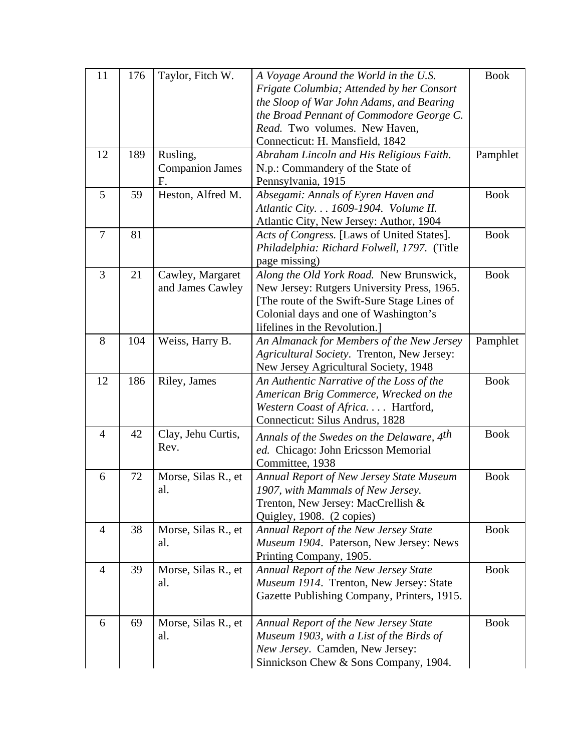| 11             | 176 | Taylor, Fitch W.       | A Voyage Around the World in the U.S.                 | <b>Book</b> |
|----------------|-----|------------------------|-------------------------------------------------------|-------------|
|                |     |                        | Frigate Columbia; Attended by her Consort             |             |
|                |     |                        | the Sloop of War John Adams, and Bearing              |             |
|                |     |                        | the Broad Pennant of Commodore George C.              |             |
|                |     |                        | Read. Two volumes. New Haven,                         |             |
|                |     |                        | Connecticut: H. Mansfield, 1842                       |             |
| 12             | 189 | Rusling,               | Abraham Lincoln and His Religious Faith.              | Pamphlet    |
|                |     | <b>Companion James</b> | N.p.: Commandery of the State of                      |             |
|                |     | F.                     | Pennsylvania, 1915                                    |             |
| 5              | 59  | Heston, Alfred M.      | Absegami: Annals of Eyren Haven and                   | <b>Book</b> |
|                |     |                        | Atlantic City. 1609-1904. Volume II.                  |             |
|                |     |                        | Atlantic City, New Jersey: Author, 1904               |             |
| $\overline{7}$ | 81  |                        | Acts of Congress. [Laws of United States].            | <b>Book</b> |
|                |     |                        | Philadelphia: Richard Folwell, 1797. (Title           |             |
|                |     |                        | page missing)                                         |             |
| 3              | 21  | Cawley, Margaret       | Along the Old York Road. New Brunswick,               | <b>Book</b> |
|                |     | and James Cawley       | New Jersey: Rutgers University Press, 1965.           |             |
|                |     |                        | [The route of the Swift-Sure Stage Lines of           |             |
|                |     |                        | Colonial days and one of Washington's                 |             |
|                |     |                        | lifelines in the Revolution.                          |             |
| 8              | 104 | Weiss, Harry B.        | An Almanack for Members of the New Jersey             | Pamphlet    |
|                |     |                        | Agricultural Society. Trenton, New Jersey:            |             |
|                |     |                        | New Jersey Agricultural Society, 1948                 |             |
| 12             | 186 | Riley, James           | An Authentic Narrative of the Loss of the             | <b>Book</b> |
|                |     |                        | American Brig Commerce, Wrecked on the                |             |
|                |     |                        | Western Coast of Africa. Hartford,                    |             |
|                |     |                        | Connecticut: Silus Andrus, 1828                       |             |
| $\overline{4}$ | 42  | Clay, Jehu Curtis,     | Annals of the Swedes on the Delaware, 4 <sup>th</sup> | <b>Book</b> |
|                |     | Rev.                   | ed. Chicago: John Ericsson Memorial                   |             |
|                |     |                        | Committee, 1938                                       |             |
| 6              | 72  | Morse, Silas R., et    | Annual Report of New Jersey State Museum              | <b>Book</b> |
|                |     | al                     | 1907, with Mammals of New Jersey.                     |             |
|                |     |                        | Trenton, New Jersey: MacCrellish &                    |             |
|                |     |                        | Quigley, 1908. (2 copies)                             |             |
|                |     |                        |                                                       |             |
| $\overline{4}$ | 38  | Morse, Silas R., et    | Annual Report of the New Jersey State                 | <b>Book</b> |
|                |     | al.                    | Museum 1904. Paterson, New Jersey: News               |             |
|                |     |                        | Printing Company, 1905.                               |             |
| $\overline{4}$ | 39  | Morse, Silas R., et    | Annual Report of the New Jersey State                 | <b>Book</b> |
|                |     | al.                    | Museum 1914. Trenton, New Jersey: State               |             |
|                |     |                        | Gazette Publishing Company, Printers, 1915.           |             |
|                |     |                        |                                                       |             |
| 6              | 69  | Morse, Silas R., et    | Annual Report of the New Jersey State                 | <b>Book</b> |
|                |     | al.                    | Museum 1903, with a List of the Birds of              |             |
|                |     |                        | New Jersey. Camden, New Jersey:                       |             |
|                |     |                        | Sinnickson Chew & Sons Company, 1904.                 |             |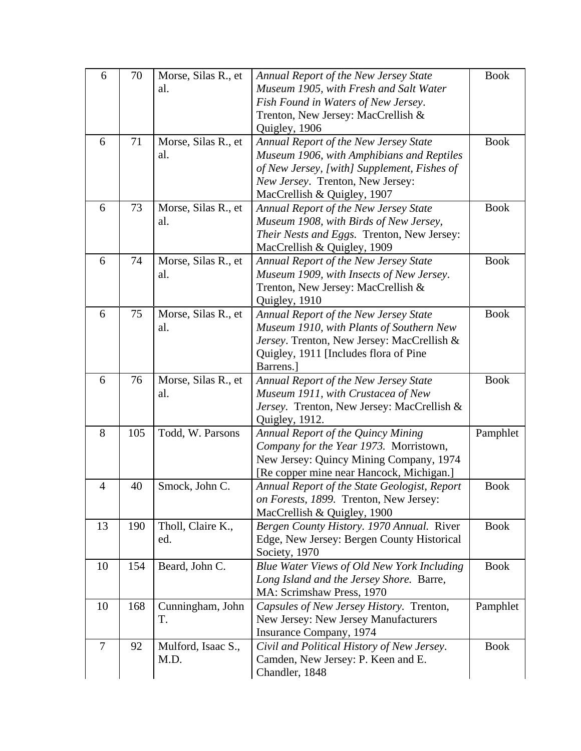| 6      | 70  | Morse, Silas R., et | <b>Annual Report of the New Jersey State</b>         | <b>Book</b> |
|--------|-----|---------------------|------------------------------------------------------|-------------|
|        |     | al.                 | Museum 1905, with Fresh and Salt Water               |             |
|        |     |                     | Fish Found in Waters of New Jersey.                  |             |
|        |     |                     | Trenton, New Jersey: MacCrellish &                   |             |
|        |     |                     | Quigley, 1906                                        |             |
| 6      | 71  | Morse, Silas R., et | Annual Report of the New Jersey State                | <b>Book</b> |
|        |     | al.                 | Museum 1906, with Amphibians and Reptiles            |             |
|        |     |                     | of New Jersey, [with] Supplement, Fishes of          |             |
|        |     |                     | New Jersey. Trenton, New Jersey:                     |             |
|        |     |                     | MacCrellish & Quigley, 1907                          |             |
| 6      | 73  | Morse, Silas R., et | Annual Report of the New Jersey State                | <b>Book</b> |
|        |     | al.                 | Museum 1908, with Birds of New Jersey,               |             |
|        |     |                     | Their Nests and Eggs. Trenton, New Jersey:           |             |
|        |     |                     | MacCrellish & Quigley, 1909                          |             |
| 6      | 74  | Morse, Silas R., et | Annual Report of the New Jersey State                | <b>Book</b> |
|        |     | al.                 | Museum 1909, with Insects of New Jersey.             |             |
|        |     |                     | Trenton, New Jersey: MacCrellish &                   |             |
|        |     |                     | Quigley, 1910                                        |             |
| 6      | 75  | Morse, Silas R., et | <b>Annual Report of the New Jersey State</b>         | <b>Book</b> |
|        |     | al.                 | Museum 1910, with Plants of Southern New             |             |
|        |     |                     | Jersey. Trenton, New Jersey: MacCrellish &           |             |
|        |     |                     | Quigley, 1911 [Includes flora of Pine                |             |
|        |     |                     | Barrens.                                             |             |
| 6      | 76  | Morse, Silas R., et | Annual Report of the New Jersey State                | <b>Book</b> |
|        |     |                     |                                                      |             |
|        |     | al.                 | Museum 1911, with Crustacea of New                   |             |
|        |     |                     | Jersey. Trenton, New Jersey: MacCrellish &           |             |
|        |     |                     | Quigley, 1912.                                       |             |
| 8      | 105 | Todd, W. Parsons    | Annual Report of the Quincy Mining                   | Pamphlet    |
|        |     |                     | Company for the Year 1973. Morristown,               |             |
|        |     |                     | New Jersey: Quincy Mining Company, 1974              |             |
|        |     |                     | [Re copper mine near Hancock, Michigan.]             |             |
| 4      | 40  | Smock, John C.      | Annual Report of the State Geologist, Report         | <b>Book</b> |
|        |     |                     | on Forests, 1899. Trenton, New Jersey:               |             |
|        |     |                     | MacCrellish & Quigley, 1900                          |             |
| 13     | 190 | Tholl, Claire K.,   | Bergen County History. 1970 Annual. River            | <b>Book</b> |
|        |     | ed.                 | Edge, New Jersey: Bergen County Historical           |             |
|        |     |                     | Society, 1970                                        |             |
| 10     | 154 | Beard, John C.      | Blue Water Views of Old New York Including           | <b>Book</b> |
|        |     |                     | Long Island and the Jersey Shore. Barre,             |             |
|        |     |                     | MA: Scrimshaw Press, 1970                            |             |
| 10     | 168 | Cunningham, John    | Capsules of New Jersey History. Trenton,             | Pamphlet    |
|        |     | T.                  | New Jersey: New Jersey Manufacturers                 |             |
|        |     |                     | Insurance Company, 1974                              |             |
| $\tau$ | 92  | Mulford, Isaac S.,  | Civil and Political History of New Jersey.           | <b>Book</b> |
|        |     | M.D.                | Camden, New Jersey: P. Keen and E.<br>Chandler, 1848 |             |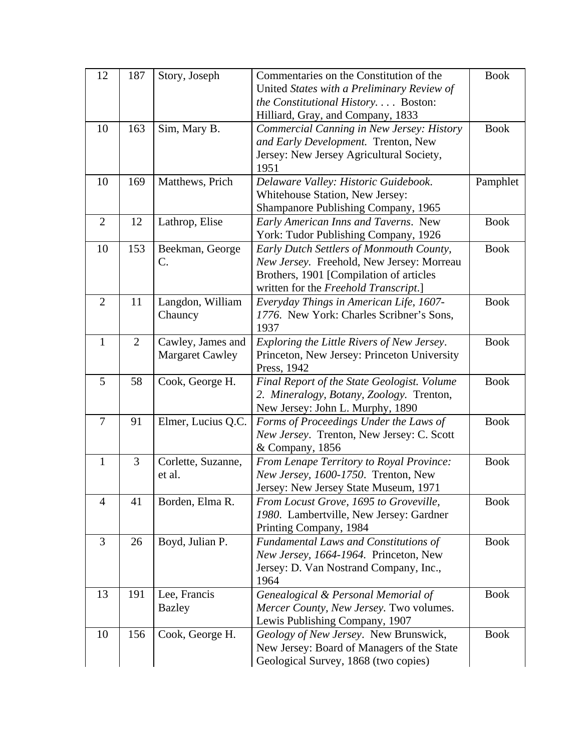| 12             | 187            | Story, Joseph          | Commentaries on the Constitution of the      | <b>Book</b> |
|----------------|----------------|------------------------|----------------------------------------------|-------------|
|                |                |                        | United States with a Preliminary Review of   |             |
|                |                |                        | the Constitutional History Boston:           |             |
|                |                |                        | Hilliard, Gray, and Company, 1833            |             |
| 10             | 163            | Sim, Mary B.           | Commercial Canning in New Jersey: History    | <b>Book</b> |
|                |                |                        | and Early Development. Trenton, New          |             |
|                |                |                        | Jersey: New Jersey Agricultural Society,     |             |
|                |                |                        | 1951                                         |             |
| 10             | 169            | Matthews, Prich        | Delaware Valley: Historic Guidebook.         | Pamphlet    |
|                |                |                        | Whitehouse Station, New Jersey:              |             |
|                |                |                        | Shampanore Publishing Company, 1965          |             |
| $\overline{2}$ | 12             | Lathrop, Elise         | Early American Inns and Taverns. New         | <b>Book</b> |
|                |                |                        | York: Tudor Publishing Company, 1926         |             |
| 10             | 153            | Beekman, George        | Early Dutch Settlers of Monmouth County,     | <b>Book</b> |
|                |                | C.                     | New Jersey. Freehold, New Jersey: Morreau    |             |
|                |                |                        | Brothers, 1901 [Compilation of articles      |             |
|                |                |                        | written for the Freehold Transcript.]        |             |
| $\overline{2}$ | 11             | Langdon, William       | Everyday Things in American Life, 1607-      | <b>Book</b> |
|                |                | Chauncy                | 1776. New York: Charles Scribner's Sons,     |             |
|                |                |                        | 1937                                         |             |
| $\mathbf{1}$   | $\overline{2}$ | Cawley, James and      | Exploring the Little Rivers of New Jersey.   | <b>Book</b> |
|                |                | <b>Margaret Cawley</b> | Princeton, New Jersey: Princeton University  |             |
|                |                |                        | Press, 1942                                  |             |
| 5              | 58             | Cook, George H.        | Final Report of the State Geologist. Volume  | <b>Book</b> |
|                |                |                        | 2. Mineralogy, Botany, Zoology. Trenton,     |             |
|                |                |                        | New Jersey: John L. Murphy, 1890             |             |
| 7              | 91             | Elmer, Lucius Q.C.     | Forms of Proceedings Under the Laws of       | <b>Book</b> |
|                |                |                        | New Jersey. Trenton, New Jersey: C. Scott    |             |
|                |                |                        | & Company, 1856                              |             |
| 1              | 3              | Corlette, Suzanne,     | From Lenape Territory to Royal Province:     | <b>Book</b> |
|                |                | et al.                 | New Jersey, 1600-1750. Trenton, New          |             |
|                |                |                        | Jersey: New Jersey State Museum, 1971        |             |
| $\overline{4}$ | 41             | Borden, Elma R.        | From Locust Grove, 1695 to Groveville,       | <b>Book</b> |
|                |                |                        | 1980. Lambertville, New Jersey: Gardner      |             |
|                |                |                        | Printing Company, 1984                       |             |
| $\overline{3}$ | 26             | Boyd, Julian P.        | <b>Fundamental Laws and Constitutions of</b> | <b>Book</b> |
|                |                |                        | New Jersey, 1664-1964. Princeton, New        |             |
|                |                |                        | Jersey: D. Van Nostrand Company, Inc.,       |             |
|                |                |                        | 1964                                         |             |
| 13             | 191            | Lee, Francis           | Genealogical & Personal Memorial of          | <b>Book</b> |
|                |                | <b>Bazley</b>          | Mercer County, New Jersey. Two volumes.      |             |
|                |                |                        | Lewis Publishing Company, 1907               |             |
| 10             | 156            | Cook, George H.        | Geology of New Jersey. New Brunswick,        | <b>Book</b> |
|                |                |                        | New Jersey: Board of Managers of the State   |             |
|                |                |                        | Geological Survey, 1868 (two copies)         |             |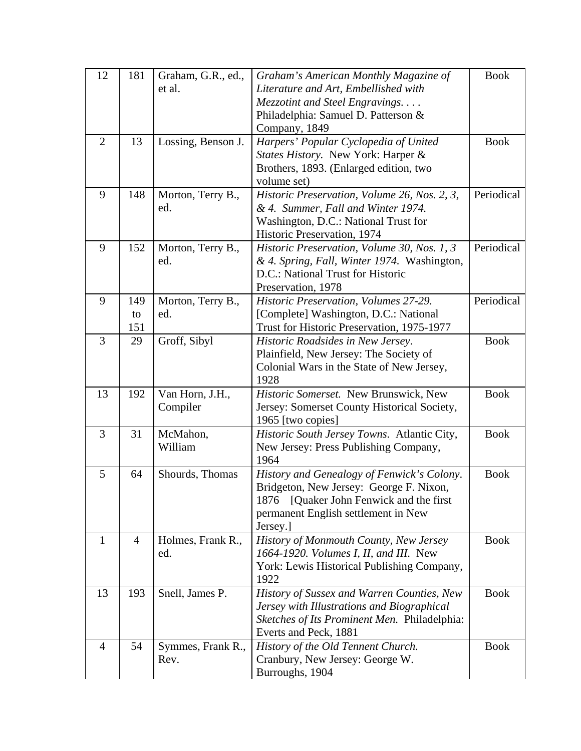| 12             | 181            | Graham, G.R., ed., | Graham's American Monthly Magazine of         | <b>Book</b> |
|----------------|----------------|--------------------|-----------------------------------------------|-------------|
|                |                | et al.             | Literature and Art, Embellished with          |             |
|                |                |                    | Mezzotint and Steel Engravings                |             |
|                |                |                    | Philadelphia: Samuel D. Patterson &           |             |
|                |                |                    | Company, 1849                                 |             |
| $\overline{2}$ | 13             | Lossing, Benson J. | Harpers' Popular Cyclopedia of United         | <b>Book</b> |
|                |                |                    | <i>States History.</i> New York: Harper &     |             |
|                |                |                    | Brothers, 1893. (Enlarged edition, two        |             |
|                |                |                    | volume set)                                   |             |
| 9              | 148            | Morton, Terry B.,  | Historic Preservation, Volume 26, Nos. 2, 3,  | Periodical  |
|                |                | ed.                | & 4. Summer, Fall and Winter 1974.            |             |
|                |                |                    | Washington, D.C.: National Trust for          |             |
|                |                |                    | Historic Preservation, 1974                   |             |
| 9              | 152            | Morton, Terry B.,  | Historic Preservation, Volume 30, Nos. 1, 3   | Periodical  |
|                |                | ed.                | & 4. Spring, Fall, Winter 1974. Washington,   |             |
|                |                |                    | D.C.: National Trust for Historic             |             |
|                |                |                    | Preservation, 1978                            |             |
| 9              | 149            | Morton, Terry B.,  | Historic Preservation, Volumes 27-29.         | Periodical  |
|                | to             | ed.                | [Complete] Washington, D.C.: National         |             |
|                | 151            |                    | Trust for Historic Preservation, 1975-1977    |             |
| 3              | 29             | Groff, Sibyl       | Historic Roadsides in New Jersey.             | <b>Book</b> |
|                |                |                    | Plainfield, New Jersey: The Society of        |             |
|                |                |                    | Colonial Wars in the State of New Jersey,     |             |
| 13             | 192            | Van Horn, J.H.,    | 1928<br>Historic Somerset. New Brunswick, New | <b>Book</b> |
|                |                | Compiler           | Jersey: Somerset County Historical Society,   |             |
|                |                |                    | 1965 [two copies]                             |             |
| 3              | 31             | McMahon,           | Historic South Jersey Towns. Atlantic City,   | <b>Book</b> |
|                |                | William            | New Jersey: Press Publishing Company,         |             |
|                |                |                    | 1964                                          |             |
| 5              | 64             | Shourds, Thomas    | History and Genealogy of Fenwick's Colony.    | <b>Book</b> |
|                |                |                    | Bridgeton, New Jersey: George F. Nixon,       |             |
|                |                |                    | [Quaker John Fenwick and the first]<br>1876   |             |
|                |                |                    | permanent English settlement in New           |             |
|                |                |                    | Jersey.]                                      |             |
| 1              | $\overline{4}$ | Holmes, Frank R.,  | History of Monmouth County, New Jersey        | <b>Book</b> |
|                |                | ed.                | 1664-1920. Volumes I, II, and III. New        |             |
|                |                |                    | York: Lewis Historical Publishing Company,    |             |
|                |                |                    | 1922                                          |             |
| 13             | 193            | Snell, James P.    | History of Sussex and Warren Counties, New    | <b>Book</b> |
|                |                |                    | Jersey with Illustrations and Biographical    |             |
|                |                |                    | Sketches of Its Prominent Men. Philadelphia:  |             |
|                |                |                    | Everts and Peck, 1881                         |             |
| $\overline{4}$ | 54             | Symmes, Frank R.,  | History of the Old Tennent Church.            | <b>Book</b> |
|                |                | Rev.               | Cranbury, New Jersey: George W.               |             |
|                |                |                    | Burroughs, 1904                               |             |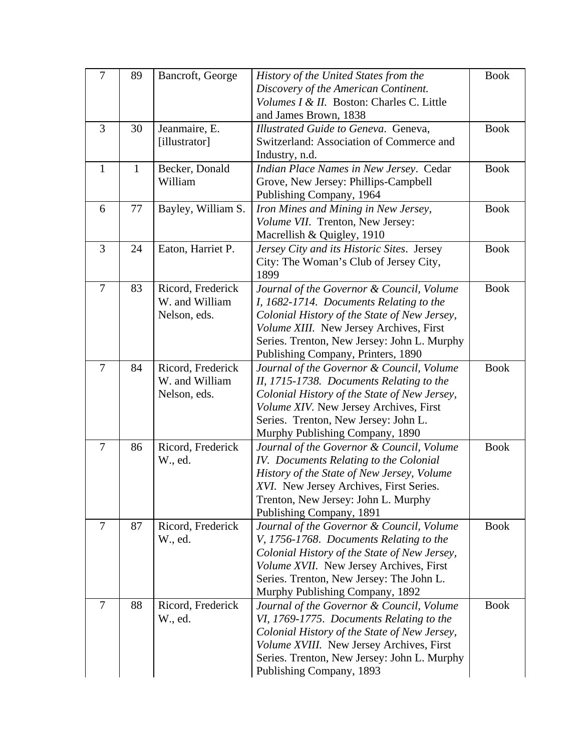| $\overline{7}$ | 89           | Bancroft, George   | History of the United States from the        | <b>Book</b> |
|----------------|--------------|--------------------|----------------------------------------------|-------------|
|                |              |                    | Discovery of the American Continent.         |             |
|                |              |                    | Volumes I & II. Boston: Charles C. Little    |             |
|                |              |                    | and James Brown, 1838                        |             |
| 3              | 30           | Jeanmaire, E.      | Illustrated Guide to Geneva. Geneva,         | <b>Book</b> |
|                |              | [illustrator]      | Switzerland: Association of Commerce and     |             |
|                |              |                    | Industry, n.d.                               |             |
| $\mathbf{1}$   | $\mathbf{1}$ | Becker, Donald     | Indian Place Names in New Jersey. Cedar      | <b>Book</b> |
|                |              | William            | Grove, New Jersey: Phillips-Campbell         |             |
|                |              |                    | Publishing Company, 1964                     |             |
| 6              | 77           | Bayley, William S. | Iron Mines and Mining in New Jersey,         | <b>Book</b> |
|                |              |                    | Volume VII. Trenton, New Jersey:             |             |
|                |              |                    | Macrellish & Quigley, 1910                   |             |
| 3              | 24           | Eaton, Harriet P.  | Jersey City and its Historic Sites. Jersey   | <b>Book</b> |
|                |              |                    | City: The Woman's Club of Jersey City,       |             |
|                |              |                    | 1899                                         |             |
| $\overline{7}$ | 83           | Ricord, Frederick  | Journal of the Governor & Council, Volume    | <b>Book</b> |
|                |              | W. and William     | I, 1682-1714. Documents Relating to the      |             |
|                |              | Nelson, eds.       | Colonial History of the State of New Jersey, |             |
|                |              |                    | Volume XIII. New Jersey Archives, First      |             |
|                |              |                    | Series. Trenton, New Jersey: John L. Murphy  |             |
|                |              |                    | Publishing Company, Printers, 1890           |             |
| $\overline{7}$ | 84           | Ricord, Frederick  | Journal of the Governor & Council, Volume    | <b>Book</b> |
|                |              | W. and William     | II, 1715-1738. Documents Relating to the     |             |
|                |              | Nelson, eds.       | Colonial History of the State of New Jersey, |             |
|                |              |                    | Volume XIV. New Jersey Archives, First       |             |
|                |              |                    | Series. Trenton, New Jersey: John L.         |             |
|                |              |                    | Murphy Publishing Company, 1890              |             |
| $\overline{7}$ | 86           | Ricord, Frederick  | Journal of the Governor & Council, Volume    | <b>Book</b> |
|                |              | W., ed.            | IV. Documents Relating to the Colonial       |             |
|                |              |                    | History of the State of New Jersey, Volume   |             |
|                |              |                    | XVI. New Jersey Archives, First Series.      |             |
|                |              |                    | Trenton, New Jersey: John L. Murphy          |             |
|                |              |                    | Publishing Company, 1891                     |             |
| $\overline{7}$ | 87           | Ricord, Frederick  | Journal of the Governor & Council, Volume    | <b>Book</b> |
|                |              | W., ed.            | V, 1756-1768. Documents Relating to the      |             |
|                |              |                    | Colonial History of the State of New Jersey, |             |
|                |              |                    | Volume XVII. New Jersey Archives, First      |             |
|                |              |                    | Series. Trenton, New Jersey: The John L.     |             |
|                |              |                    | Murphy Publishing Company, 1892              |             |
| $\tau$         | 88           | Ricord, Frederick  | Journal of the Governor & Council, Volume    | <b>Book</b> |
|                |              | W., ed.            | VI, 1769-1775. Documents Relating to the     |             |
|                |              |                    | Colonial History of the State of New Jersey, |             |
|                |              |                    | Volume XVIII. New Jersey Archives, First     |             |
|                |              |                    | Series. Trenton, New Jersey: John L. Murphy  |             |
|                |              |                    | Publishing Company, 1893                     |             |
|                |              |                    |                                              |             |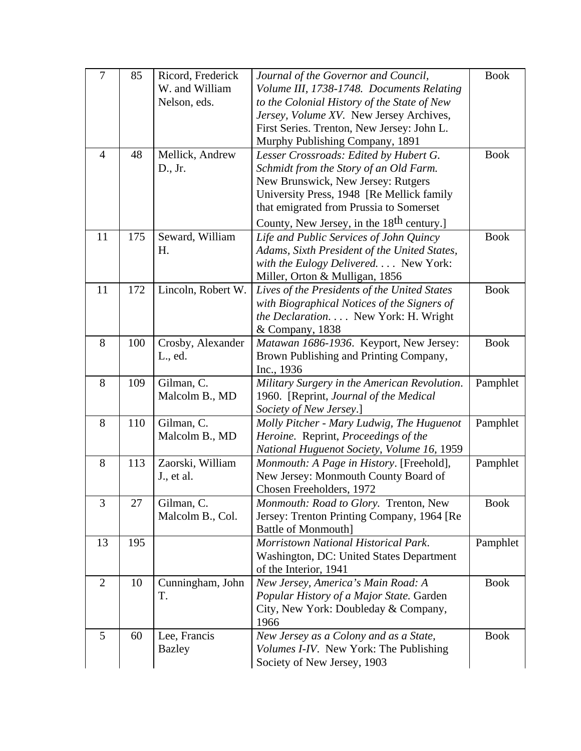| $\overline{7}$ | 85  | Ricord, Frederick  | Journal of the Governor and Council,                  | <b>Book</b> |
|----------------|-----|--------------------|-------------------------------------------------------|-------------|
|                |     | W. and William     | Volume III, 1738-1748. Documents Relating             |             |
|                |     | Nelson, eds.       | to the Colonial History of the State of New           |             |
|                |     |                    | Jersey, Volume XV. New Jersey Archives,               |             |
|                |     |                    | First Series. Trenton, New Jersey: John L.            |             |
|                |     |                    | Murphy Publishing Company, 1891                       |             |
| $\overline{4}$ | 48  | Mellick, Andrew    | Lesser Crossroads: Edited by Hubert G.                | <b>Book</b> |
|                |     | D., Jr.            | Schmidt from the Story of an Old Farm.                |             |
|                |     |                    | New Brunswick, New Jersey: Rutgers                    |             |
|                |     |                    | University Press, 1948 [Re Mellick family             |             |
|                |     |                    | that emigrated from Prussia to Somerset               |             |
|                |     |                    | County, New Jersey, in the 18 <sup>th</sup> century.] |             |
| 11             | 175 | Seward, William    | Life and Public Services of John Quincy               | <b>Book</b> |
|                |     | H.                 | Adams, Sixth President of the United States,          |             |
|                |     |                    | with the Eulogy Delivered. New York:                  |             |
|                |     |                    | Miller, Orton & Mulligan, 1856                        |             |
| 11             | 172 | Lincoln, Robert W. | Lives of the Presidents of the United States          | <b>Book</b> |
|                |     |                    | with Biographical Notices of the Signers of           |             |
|                |     |                    | the Declaration. New York: H. Wright                  |             |
|                |     |                    | & Company, 1838                                       |             |
| 8              | 100 | Crosby, Alexander  | Matawan 1686-1936. Keyport, New Jersey:               | <b>Book</b> |
|                |     | L., ed.            | Brown Publishing and Printing Company,                |             |
|                |     |                    | Inc., 1936                                            |             |
| 8              | 109 | Gilman, C.         | Military Surgery in the American Revolution.          | Pamphlet    |
|                |     | Malcolm B., MD     | 1960. [Reprint, Journal of the Medical                |             |
|                |     |                    | Society of New Jersey.]                               |             |
| 8              | 110 | Gilman, C.         | Molly Pitcher - Mary Ludwig, The Huguenot             | Pamphlet    |
|                |     | Malcolm B., MD     | Heroine. Reprint, Proceedings of the                  |             |
|                |     |                    | National Huguenot Society, Volume 16, 1959            |             |
| 8              | 113 | Zaorski, William   | Monmouth: A Page in History. [Freehold],              | Pamphlet    |
|                |     | J., et al.         | New Jersey: Monmouth County Board of                  |             |
|                |     |                    | Chosen Freeholders, 1972                              |             |
| 3              | 27  | Gilman, C.         | Monmouth: Road to Glory. Trenton, New                 | <b>Book</b> |
|                |     | Malcolm B., Col.   | Jersey: Trenton Printing Company, 1964 [Re            |             |
|                |     |                    | <b>Battle of Monmouth]</b>                            |             |
| 13             | 195 |                    | Morristown National Historical Park.                  | Pamphlet    |
|                |     |                    | Washington, DC: United States Department              |             |
|                |     |                    | of the Interior, 1941                                 |             |
| $\overline{2}$ | 10  | Cunningham, John   | New Jersey, America's Main Road: A                    | <b>Book</b> |
|                |     | T.                 | Popular History of a Major State. Garden              |             |
|                |     |                    | City, New York: Doubleday & Company,                  |             |
|                |     |                    | 1966                                                  |             |
| 5              | 60  | Lee, Francis       | New Jersey as a Colony and as a State,                | <b>Book</b> |
|                |     | <b>Bazley</b>      | <i>Volumes I-IV.</i> New York: The Publishing         |             |
|                |     |                    | Society of New Jersey, 1903                           |             |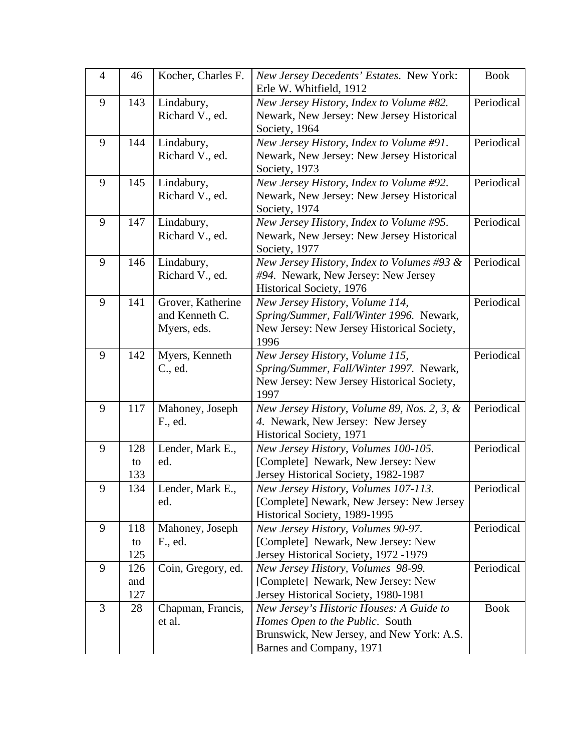| $\overline{4}$ | 46                | Kocher, Charles F.                                 | New Jersey Decedents' Estates. New York:<br>Erle W. Whitfield, 1912                                                                                  | <b>Book</b> |
|----------------|-------------------|----------------------------------------------------|------------------------------------------------------------------------------------------------------------------------------------------------------|-------------|
| 9              | 143               | Lindabury,<br>Richard V., ed.                      | New Jersey History, Index to Volume #82.<br>Newark, New Jersey: New Jersey Historical<br>Society, 1964                                               | Periodical  |
| 9              | 144               | Lindabury,<br>Richard V., ed.                      | New Jersey History, Index to Volume #91.<br>Newark, New Jersey: New Jersey Historical<br>Society, 1973                                               | Periodical  |
| 9              | 145               | Lindabury,<br>Richard V., ed.                      | New Jersey History, Index to Volume #92.<br>Newark, New Jersey: New Jersey Historical<br>Society, 1974                                               | Periodical  |
| 9              | 147               | Lindabury,<br>Richard V., ed.                      | New Jersey History, Index to Volume #95.<br>Newark, New Jersey: New Jersey Historical<br>Society, 1977                                               | Periodical  |
| 9              | 146               | Lindabury,<br>Richard V., ed.                      | New Jersey History, Index to Volumes #93 &<br>#94. Newark, New Jersey: New Jersey<br>Historical Society, 1976                                        | Periodical  |
| 9              | 141               | Grover, Katherine<br>and Kenneth C.<br>Myers, eds. | New Jersey History, Volume 114,<br>Spring/Summer, Fall/Winter 1996. Newark,<br>New Jersey: New Jersey Historical Society,<br>1996                    | Periodical  |
| 9              | 142               | Myers, Kenneth<br>C., ed.                          | New Jersey History, Volume 115,<br>Spring/Summer, Fall/Winter 1997. Newark,<br>New Jersey: New Jersey Historical Society,<br>1997                    | Periodical  |
| 9              | 117               | Mahoney, Joseph<br>F., ed.                         | New Jersey History, Volume 89, Nos. 2, 3, &<br>4. Newark, New Jersey: New Jersey<br>Historical Society, 1971                                         | Periodical  |
| 9              | 128<br>to<br>133  | Lender, Mark E.,<br>ed.                            | New Jersey History, Volumes 100-105.<br>[Complete] Newark, New Jersey: New<br>Jersey Historical Society, 1982-1987                                   | Periodical  |
| 9              | 134               | Lender, Mark E.,<br>ed.                            | New Jersey History, Volumes 107-113.<br>[Complete] Newark, New Jersey: New Jersey<br>Historical Society, 1989-1995                                   | Periodical  |
| 9              | 118<br>to<br>125  | Mahoney, Joseph<br>F., ed.                         | New Jersey History, Volumes 90-97.<br>[Complete] Newark, New Jersey: New<br>Jersey Historical Society, 1972 -1979                                    | Periodical  |
| 9              | 126<br>and<br>127 | Coin, Gregory, ed.                                 | New Jersey History, Volumes 98-99.<br>[Complete] Newark, New Jersey: New<br>Jersey Historical Society, 1980-1981                                     | Periodical  |
| 3              | 28                | Chapman, Francis,<br>et al.                        | New Jersey's Historic Houses: A Guide to<br>Homes Open to the Public. South<br>Brunswick, New Jersey, and New York: A.S.<br>Barnes and Company, 1971 | <b>Book</b> |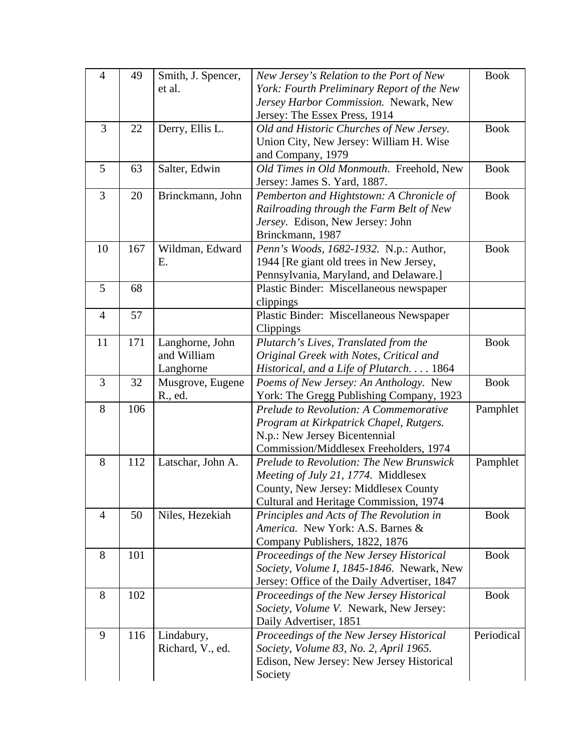| $\overline{4}$ | 49  | Smith, J. Spencer, | New Jersey's Relation to the Port of New             | <b>Book</b> |
|----------------|-----|--------------------|------------------------------------------------------|-------------|
|                |     | et al.             | York: Fourth Preliminary Report of the New           |             |
|                |     |                    | Jersey Harbor Commission. Newark, New                |             |
|                |     |                    | Jersey: The Essex Press, 1914                        |             |
| 3              | 22  | Derry, Ellis L.    | Old and Historic Churches of New Jersey.             | <b>Book</b> |
|                |     |                    | Union City, New Jersey: William H. Wise              |             |
|                |     |                    | and Company, 1979                                    |             |
| 5              | 63  | Salter, Edwin      | Old Times in Old Monmouth. Freehold, New             | <b>Book</b> |
|                |     |                    | Jersey: James S. Yard, 1887.                         |             |
| 3              | 20  | Brinckmann, John   | Pemberton and Hightstown: A Chronicle of             | <b>Book</b> |
|                |     |                    | Railroading through the Farm Belt of New             |             |
|                |     |                    | Jersey. Edison, New Jersey: John                     |             |
|                |     |                    | Brinckmann, 1987                                     |             |
| 10             | 167 | Wildman, Edward    | Penn's Woods, 1682-1932. N.p.: Author,               | <b>Book</b> |
|                |     | Ε.                 | 1944 [Re giant old trees in New Jersey,              |             |
|                |     |                    | Pennsylvania, Maryland, and Delaware.]               |             |
| 5              | 68  |                    | Plastic Binder: Miscellaneous newspaper              |             |
|                |     |                    | clippings                                            |             |
| $\overline{4}$ | 57  |                    | Plastic Binder: Miscellaneous Newspaper              |             |
|                |     |                    | Clippings                                            |             |
| 11             | 171 | Langhorne, John    | Plutarch's Lives, Translated from the                | <b>Book</b> |
|                |     | and William        | Original Greek with Notes, Critical and              |             |
|                |     | Langhorne          | Historical, and a Life of Plutarch 1864              |             |
| 3              | 32  | Musgrove, Eugene   | Poems of New Jersey: An Anthology. New               | <b>Book</b> |
|                |     | R., ed.            | York: The Gregg Publishing Company, 1923             |             |
| 8              | 106 |                    | Prelude to Revolution: A Commemorative               | Pamphlet    |
|                |     |                    |                                                      |             |
|                |     |                    | Program at Kirkpatrick Chapel, Rutgers.              |             |
|                |     |                    | N.p.: New Jersey Bicentennial                        |             |
|                |     |                    | Commission/Middlesex Freeholders, 1974               |             |
| 8              | 112 | Latschar, John A.  | Prelude to Revolution: The New Brunswick             | Pamphlet    |
|                |     |                    | Meeting of July 21, 1774. Middlesex                  |             |
|                |     |                    | County, New Jersey: Middlesex County                 |             |
|                |     |                    | Cultural and Heritage Commission, 1974               |             |
| $\overline{4}$ | 50  | Niles, Hezekiah    | Principles and Acts of The Revolution in             | <b>Book</b> |
|                |     |                    | America. New York: A.S. Barnes &                     |             |
|                |     |                    | Company Publishers, 1822, 1876                       |             |
| 8              | 101 |                    | Proceedings of the New Jersey Historical             | <b>Book</b> |
|                |     |                    | Society, Volume I, 1845-1846. Newark, New            |             |
|                |     |                    | Jersey: Office of the Daily Advertiser, 1847         |             |
| 8              | 102 |                    | Proceedings of the New Jersey Historical             | <b>Book</b> |
|                |     |                    | Society, Volume V. Newark, New Jersey:               |             |
|                |     |                    | Daily Advertiser, 1851                               |             |
| 9              | 116 | Lindabury,         | Proceedings of the New Jersey Historical             | Periodical  |
|                |     | Richard, V., ed.   | Society, Volume 83, No. 2, April 1965.               |             |
|                |     |                    | Edison, New Jersey: New Jersey Historical<br>Society |             |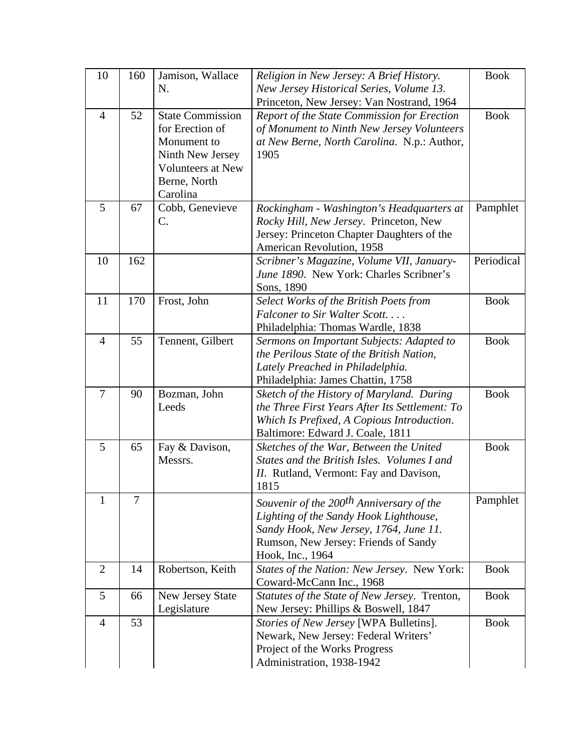| 10             | 160 | Jamison, Wallace<br>N.                                                                                                                | Religion in New Jersey: A Brief History.                                                                                                                                                             | <b>Book</b> |
|----------------|-----|---------------------------------------------------------------------------------------------------------------------------------------|------------------------------------------------------------------------------------------------------------------------------------------------------------------------------------------------------|-------------|
|                |     |                                                                                                                                       | New Jersey Historical Series, Volume 13.<br>Princeton, New Jersey: Van Nostrand, 1964                                                                                                                |             |
| $\overline{4}$ | 52  | <b>State Commission</b><br>for Erection of<br>Monument to<br>Ninth New Jersey<br><b>Volunteers at New</b><br>Berne, North<br>Carolina | Report of the State Commission for Erection<br>of Monument to Ninth New Jersey Volunteers<br>at New Berne, North Carolina. N.p.: Author,<br>1905                                                     | <b>Book</b> |
| 5              | 67  | Cobb, Genevieve<br>C.                                                                                                                 | Rockingham - Washington's Headquarters at<br>Rocky Hill, New Jersey. Princeton, New<br>Jersey: Princeton Chapter Daughters of the<br>American Revolution, 1958                                       | Pamphlet    |
| 10             | 162 |                                                                                                                                       | Scribner's Magazine, Volume VII, January-<br>June 1890. New York: Charles Scribner's<br>Sons, 1890                                                                                                   | Periodical  |
| 11             | 170 | Frost, John                                                                                                                           | Select Works of the British Poets from<br>Falconer to Sir Walter Scott<br>Philadelphia: Thomas Wardle, 1838                                                                                          | <b>Book</b> |
| $\overline{4}$ | 55  | Tennent, Gilbert                                                                                                                      | Sermons on Important Subjects: Adapted to<br>the Perilous State of the British Nation,<br>Lately Preached in Philadelphia.<br>Philadelphia: James Chattin, 1758                                      | <b>Book</b> |
| $\overline{7}$ | 90  | Bozman, John<br>Leeds                                                                                                                 | Sketch of the History of Maryland. During<br>the Three First Years After Its Settlement: To<br>Which Is Prefixed, A Copious Introduction.<br>Baltimore: Edward J. Coale, 1811                        | <b>Book</b> |
| 5              | 65  | Fay & Davison,<br>Messrs.                                                                                                             | Sketches of the War, Between the United<br>States and the British Isles. Volumes I and<br><i>II.</i> Rutland, Vermont: Fay and Davison,<br>1815                                                      | <b>Book</b> |
| 1              | 7   |                                                                                                                                       | Souvenir of the 200 <sup>th</sup> Anniversary of the<br>Lighting of the Sandy Hook Lighthouse,<br>Sandy Hook, New Jersey, 1764, June 11.<br>Rumson, New Jersey: Friends of Sandy<br>Hook, Inc., 1964 | Pamphlet    |
| $\overline{2}$ | 14  | Robertson, Keith                                                                                                                      | States of the Nation: New Jersey. New York:<br>Coward-McCann Inc., 1968                                                                                                                              | <b>Book</b> |
| 5              | 66  | New Jersey State<br>Legislature                                                                                                       | Statutes of the State of New Jersey. Trenton,<br>New Jersey: Phillips & Boswell, 1847                                                                                                                | <b>Book</b> |
| $\overline{4}$ | 53  |                                                                                                                                       | Stories of New Jersey [WPA Bulletins].<br>Newark, New Jersey: Federal Writers'<br>Project of the Works Progress<br>Administration, 1938-1942                                                         | <b>Book</b> |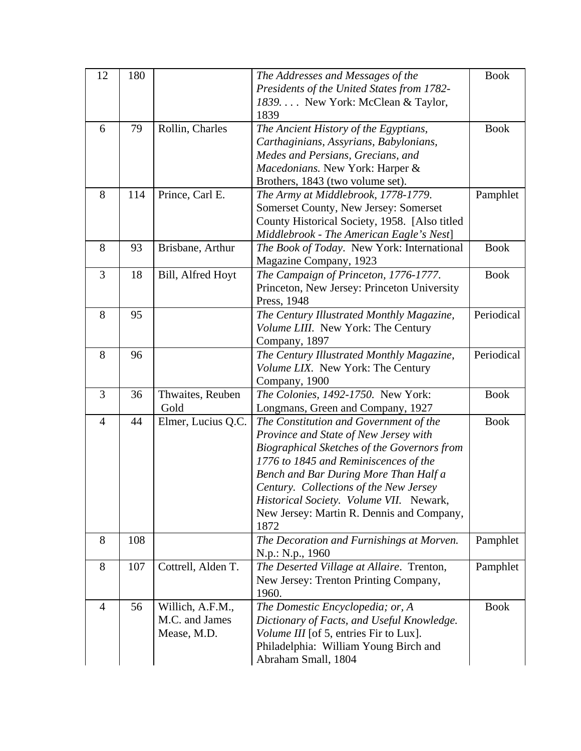| 12             | 180 |                    | The Addresses and Messages of the             | <b>Book</b> |
|----------------|-----|--------------------|-----------------------------------------------|-------------|
|                |     |                    | Presidents of the United States from 1782-    |             |
|                |     |                    | 1839. New York: McClean & Taylor,             |             |
|                |     |                    | 1839                                          |             |
| 6              | 79  | Rollin, Charles    | The Ancient History of the Egyptians,         | <b>Book</b> |
|                |     |                    | Carthaginians, Assyrians, Babylonians,        |             |
|                |     |                    | Medes and Persians, Grecians, and             |             |
|                |     |                    | Macedonians. New York: Harper &               |             |
|                |     |                    | Brothers, 1843 (two volume set).              |             |
| 8              | 114 | Prince, Carl E.    | The Army at Middlebrook, 1778-1779.           | Pamphlet    |
|                |     |                    | Somerset County, New Jersey: Somerset         |             |
|                |     |                    | County Historical Society, 1958. [Also titled |             |
|                |     |                    | Middlebrook - The American Eagle's Nest]      |             |
| 8              | 93  | Brisbane, Arthur   | The Book of Today. New York: International    | <b>Book</b> |
|                |     |                    | Magazine Company, 1923                        |             |
| 3              | 18  | Bill, Alfred Hoyt  | The Campaign of Princeton, 1776-1777.         | <b>Book</b> |
|                |     |                    | Princeton, New Jersey: Princeton University   |             |
|                |     |                    | Press, 1948                                   |             |
| 8              | 95  |                    | The Century Illustrated Monthly Magazine,     | Periodical  |
|                |     |                    | Volume LIII. New York: The Century            |             |
|                |     |                    | Company, 1897                                 |             |
| 8              | 96  |                    | The Century Illustrated Monthly Magazine,     | Periodical  |
|                |     |                    | Volume LIX. New York: The Century             |             |
|                |     |                    | Company, 1900                                 |             |
| 3              | 36  | Thwaites, Reuben   | The Colonies, 1492-1750. New York:            | <b>Book</b> |
|                |     | Gold               | Longmans, Green and Company, 1927             |             |
| $\overline{4}$ | 44  | Elmer, Lucius Q.C. | The Constitution and Government of the        | <b>Book</b> |
|                |     |                    | Province and State of New Jersey with         |             |
|                |     |                    | Biographical Sketches of the Governors from   |             |
|                |     |                    | 1776 to 1845 and Reminiscences of the         |             |
|                |     |                    | Bench and Bar During More Than Half a         |             |
|                |     |                    | Century. Collections of the New Jersey        |             |
|                |     |                    | Historical Society. Volume VII. Newark,       |             |
|                |     |                    | New Jersey: Martin R. Dennis and Company,     |             |
|                |     |                    | 1872                                          |             |
| 8              | 108 |                    | The Decoration and Furnishings at Morven.     | Pamphlet    |
|                |     |                    | N.p.: N.p., 1960                              |             |
| 8              | 107 | Cottrell, Alden T. | The Deserted Village at Allaire. Trenton,     | Pamphlet    |
|                |     |                    | New Jersey: Trenton Printing Company,         |             |
|                |     |                    | 1960.                                         |             |
| $\overline{4}$ | 56  | Willich, A.F.M.,   | The Domestic Encyclopedia; or, A              | <b>Book</b> |
|                |     | M.C. and James     | Dictionary of Facts, and Useful Knowledge.    |             |
|                |     | Mease, M.D.        | Volume III [of 5, entries Fir to Lux].        |             |
|                |     |                    | Philadelphia: William Young Birch and         |             |
|                |     |                    | Abraham Small, 1804                           |             |
|                |     |                    |                                               |             |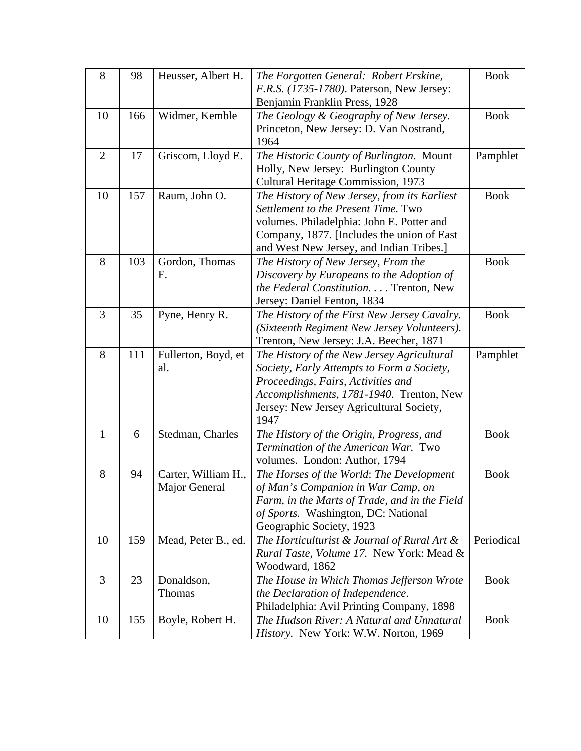| 8              | 98  | Heusser, Albert H.  | The Forgotten General: Robert Erskine,<br>F.R.S. (1735-1780). Paterson, New Jersey:           | <b>Book</b> |
|----------------|-----|---------------------|-----------------------------------------------------------------------------------------------|-------------|
|                |     |                     | Benjamin Franklin Press, 1928                                                                 |             |
| 10             | 166 | Widmer, Kemble      | The Geology & Geography of New Jersey.                                                        | <b>Book</b> |
|                |     |                     | Princeton, New Jersey: D. Van Nostrand,                                                       |             |
|                |     |                     | 1964                                                                                          |             |
| $\overline{2}$ | 17  | Griscom, Lloyd E.   | The Historic County of Burlington. Mount                                                      | Pamphlet    |
|                |     |                     | Holly, New Jersey: Burlington County                                                          |             |
|                |     |                     | Cultural Heritage Commission, 1973                                                            |             |
| 10             | 157 | Raum, John O.       | The History of New Jersey, from its Earliest                                                  | <b>Book</b> |
|                |     |                     | Settlement to the Present Time. Two                                                           |             |
|                |     |                     | volumes. Philadelphia: John E. Potter and                                                     |             |
|                |     |                     | Company, 1877. [Includes the union of East                                                    |             |
| 8              | 103 | Gordon, Thomas      | and West New Jersey, and Indian Tribes.]                                                      | <b>Book</b> |
|                |     | F.                  | The History of New Jersey, From the<br>Discovery by Europeans to the Adoption of              |             |
|                |     |                     | the Federal Constitution. Trenton, New                                                        |             |
|                |     |                     | Jersey: Daniel Fenton, 1834                                                                   |             |
| 3              | 35  | Pyne, Henry R.      | The History of the First New Jersey Cavalry.                                                  | <b>Book</b> |
|                |     |                     | (Sixteenth Regiment New Jersey Volunteers).                                                   |             |
|                |     |                     | Trenton, New Jersey: J.A. Beecher, 1871                                                       |             |
| 8              | 111 | Fullerton, Boyd, et | The History of the New Jersey Agricultural                                                    | Pamphlet    |
|                |     | al.                 | Society, Early Attempts to Form a Society,                                                    |             |
|                |     |                     | Proceedings, Fairs, Activities and                                                            |             |
|                |     |                     | Accomplishments, 1781-1940. Trenton, New                                                      |             |
|                |     |                     | Jersey: New Jersey Agricultural Society,                                                      |             |
|                |     |                     | 1947                                                                                          |             |
| 1              | 6   | Stedman, Charles    | The History of the Origin, Progress, and                                                      | <b>Book</b> |
|                |     |                     | Termination of the American War. Two                                                          |             |
|                |     |                     | volumes. London: Author, 1794                                                                 |             |
| 8              | 94  | Carter, William H., | The Horses of the World: The Development                                                      | <b>Book</b> |
|                |     | Major General       | of Man's Companion in War Camp, on                                                            |             |
|                |     |                     | Farm, in the Marts of Trade, and in the Field                                                 |             |
|                |     |                     | of Sports. Washington, DC: National                                                           |             |
| 10             | 159 | Mead, Peter B., ed. | Geographic Society, 1923                                                                      | Periodical  |
|                |     |                     | The Horticulturist $\&$ Journal of Rural Art $\&$<br>Rural Taste, Volume 17. New York: Mead & |             |
|                |     |                     | Woodward, 1862                                                                                |             |
| 3              | 23  | Donaldson,          | The House in Which Thomas Jefferson Wrote                                                     | <b>Book</b> |
|                |     | Thomas              | the Declaration of Independence.                                                              |             |
|                |     |                     | Philadelphia: Avil Printing Company, 1898                                                     |             |
| 10             | 155 | Boyle, Robert H.    | The Hudson River: A Natural and Unnatural                                                     | <b>Book</b> |
|                |     |                     | History. New York: W.W. Norton, 1969                                                          |             |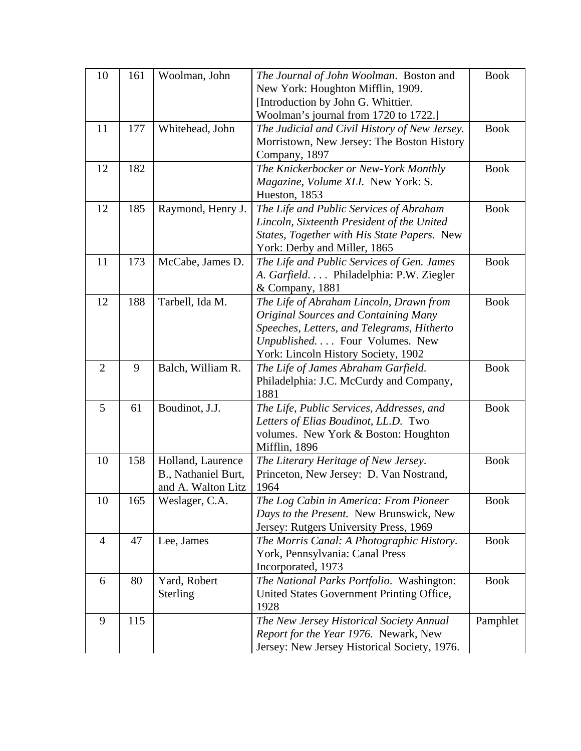| 10             | 161 | Woolman, John                                                  | The Journal of John Woolman. Boston and<br>New York: Houghton Mifflin, 1909.<br>[Introduction by John G. Whittier.                                                                                           | <b>Book</b> |
|----------------|-----|----------------------------------------------------------------|--------------------------------------------------------------------------------------------------------------------------------------------------------------------------------------------------------------|-------------|
|                |     |                                                                | Woolman's journal from 1720 to 1722.]                                                                                                                                                                        |             |
| 11             | 177 | Whitehead, John                                                | The Judicial and Civil History of New Jersey.<br>Morristown, New Jersey: The Boston History<br>Company, 1897                                                                                                 | <b>Book</b> |
| 12             | 182 |                                                                | The Knickerbocker or New-York Monthly<br>Magazine, Volume XLI. New York: S.<br>Hueston, 1853                                                                                                                 | <b>Book</b> |
| 12             | 185 | Raymond, Henry J.                                              | The Life and Public Services of Abraham<br>Lincoln, Sixteenth President of the United<br>States, Together with His State Papers. New<br>York: Derby and Miller, 1865                                         | <b>Book</b> |
| 11             | 173 | McCabe, James D.                                               | The Life and Public Services of Gen. James<br>A. Garfield. Philadelphia: P.W. Ziegler<br>& Company, 1881                                                                                                     | <b>Book</b> |
| 12             | 188 | Tarbell, Ida M.                                                | The Life of Abraham Lincoln, Drawn from<br><b>Original Sources and Containing Many</b><br>Speeches, Letters, and Telegrams, Hitherto<br>Unpublished Four Volumes. New<br>York: Lincoln History Society, 1902 | <b>Book</b> |
| $\overline{2}$ | 9   | Balch, William R.                                              | The Life of James Abraham Garfield.<br>Philadelphia: J.C. McCurdy and Company,<br>1881                                                                                                                       | <b>Book</b> |
| 5              | 61  | Boudinot, J.J.                                                 | The Life, Public Services, Addresses, and<br>Letters of Elias Boudinot, LL.D. Two<br>volumes. New York & Boston: Houghton<br>Mifflin, 1896                                                                   | <b>Book</b> |
| 10             | 158 | Holland, Laurence<br>B., Nathaniel Burt,<br>and A. Walton Litz | The Literary Heritage of New Jersey.<br>Princeton, New Jersey: D. Van Nostrand,<br>1964                                                                                                                      | <b>Book</b> |
| 10             | 165 | Weslager, C.A.                                                 | The Log Cabin in America: From Pioneer<br>Days to the Present. New Brunswick, New<br>Jersey: Rutgers University Press, 1969                                                                                  | <b>Book</b> |
| $\overline{4}$ | 47  | Lee, James                                                     | The Morris Canal: A Photographic History.<br>York, Pennsylvania: Canal Press<br>Incorporated, 1973                                                                                                           | <b>Book</b> |
| 6              | 80  | Yard, Robert<br>Sterling                                       | The National Parks Portfolio. Washington:<br>United States Government Printing Office,<br>1928                                                                                                               | <b>Book</b> |
| 9              | 115 |                                                                | The New Jersey Historical Society Annual<br>Report for the Year 1976. Newark, New<br>Jersey: New Jersey Historical Society, 1976.                                                                            | Pamphlet    |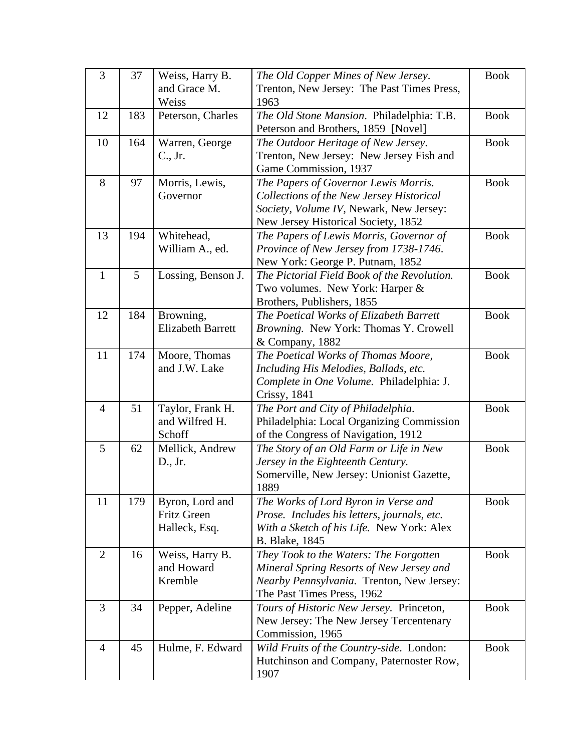| 3              | 37  | Weiss, Harry B.          | The Old Copper Mines of New Jersey.         | <b>Book</b> |
|----------------|-----|--------------------------|---------------------------------------------|-------------|
|                |     | and Grace M.             | Trenton, New Jersey: The Past Times Press,  |             |
|                |     | Weiss                    | 1963                                        |             |
| 12             | 183 | Peterson, Charles        | The Old Stone Mansion. Philadelphia: T.B.   | <b>Book</b> |
|                |     |                          | Peterson and Brothers, 1859 [Novel]         |             |
| 10             | 164 | Warren, George           | The Outdoor Heritage of New Jersey.         | <b>Book</b> |
|                |     | C., Jr.                  | Trenton, New Jersey: New Jersey Fish and    |             |
|                |     |                          | Game Commission, 1937                       |             |
| 8              | 97  | Morris, Lewis,           | The Papers of Governor Lewis Morris.        | <b>Book</b> |
|                |     | Governor                 | Collections of the New Jersey Historical    |             |
|                |     |                          | Society, Volume IV, Newark, New Jersey:     |             |
|                |     |                          | New Jersey Historical Society, 1852         |             |
| 13             | 194 | Whitehead,               | The Papers of Lewis Morris, Governor of     | <b>Book</b> |
|                |     | William A., ed.          | Province of New Jersey from 1738-1746.      |             |
|                |     |                          | New York: George P. Putnam, 1852            |             |
| $\mathbf{1}$   | 5   | Lossing, Benson J.       | The Pictorial Field Book of the Revolution. | <b>Book</b> |
|                |     |                          | Two volumes. New York: Harper &             |             |
|                |     |                          | Brothers, Publishers, 1855                  |             |
| 12             | 184 | Browning,                | The Poetical Works of Elizabeth Barrett     | <b>Book</b> |
|                |     | <b>Elizabeth Barrett</b> | Browning. New York: Thomas Y. Crowell       |             |
|                |     |                          | & Company, 1882                             |             |
| 11             | 174 | Moore, Thomas            | The Poetical Works of Thomas Moore,         | <b>Book</b> |
|                |     | and J.W. Lake            | Including His Melodies, Ballads, etc.       |             |
|                |     |                          | Complete in One Volume. Philadelphia: J.    |             |
|                |     |                          | Crissy, 1841                                |             |
| $\overline{4}$ | 51  | Taylor, Frank H.         | The Port and City of Philadelphia.          | <b>Book</b> |
|                |     | and Wilfred H.           | Philadelphia: Local Organizing Commission   |             |
|                |     | Schoff                   | of the Congress of Navigation, 1912         |             |
| 5              | 62  | Mellick, Andrew          | The Story of an Old Farm or Life in New     | <b>Book</b> |
|                |     | D., Jr.                  | Jersey in the Eighteenth Century.           |             |
|                |     |                          | Somerville, New Jersey: Unionist Gazette,   |             |
|                |     |                          | 1889                                        |             |
| 11             | 179 | Byron, Lord and          | The Works of Lord Byron in Verse and        | <b>Book</b> |
|                |     | <b>Fritz Green</b>       | Prose. Includes his letters, journals, etc. |             |
|                |     | Halleck, Esq.            | With a Sketch of his Life. New York: Alex   |             |
|                |     |                          | <b>B.</b> Blake, 1845                       |             |
| $\overline{2}$ | 16  | Weiss, Harry B.          | They Took to the Waters: The Forgotten      | <b>Book</b> |
|                |     | and Howard               | Mineral Spring Resorts of New Jersey and    |             |
|                |     | Kremble                  | Nearby Pennsylvania. Trenton, New Jersey:   |             |
|                |     |                          | The Past Times Press, 1962                  |             |
| $\overline{3}$ | 34  | Pepper, Adeline          | Tours of Historic New Jersey. Princeton,    | <b>Book</b> |
|                |     |                          | New Jersey: The New Jersey Tercentenary     |             |
|                |     |                          | Commission, 1965                            |             |
| $\overline{4}$ | 45  | Hulme, F. Edward         | Wild Fruits of the Country-side. London:    | <b>Book</b> |
|                |     |                          | Hutchinson and Company, Paternoster Row,    |             |
|                |     |                          | 1907                                        |             |